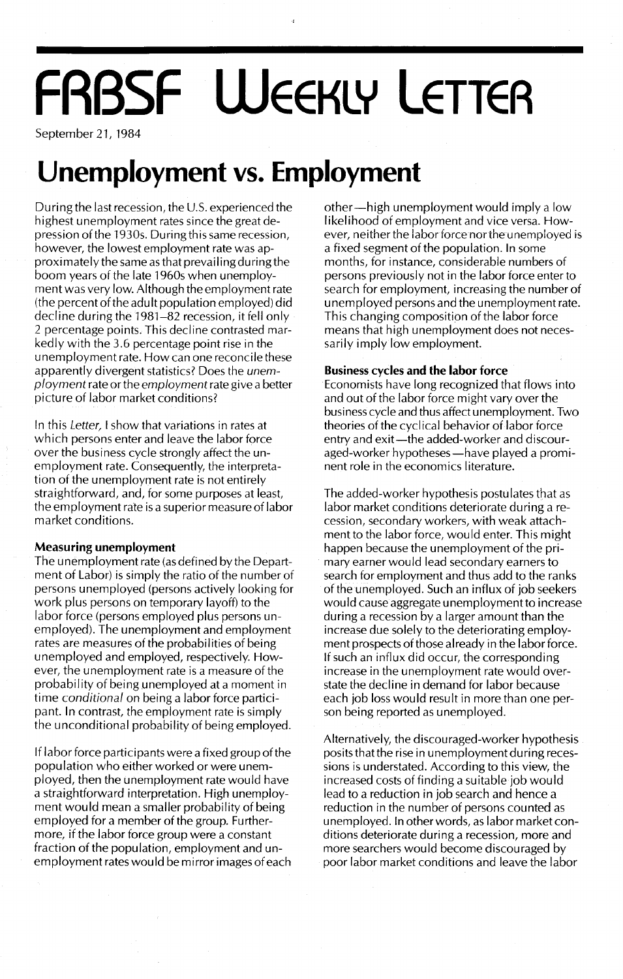# **FRBSF WEEKLY LETTER**

September 21, 1984

### **Unemployment vs. Employment**

During the last recession, the U.S. experienced the highest unemployment rates since the great depression of the 1930s. During this same recession, however, the lowest employment rate was approximately the same as that prevailing during the boom years of the late 1960s when unemployment was very low. Although the employment rate (the percent of the adult population employed) did decline during the 1981-82 recession, it fell only 2 percentage points. This decline contrasted markedly with the 3.6 percentage point rise in the unemployment rate. How can one reconcile these apparently divergent statistics? Does the *unemployment* rate orthe *employment* rate give a better picture of labor market conditions?

In this *Letter,* I show that variations in rates at which persons enter and leave the labor force over the business cycle strongly affect the unemployment rate. Consequently, the interpretation of the unemployment rate is not entirely straightforward, and, for some purposes at least, the employment rate is a superior measure of labor market conditions.

#### **Measuring unemployment**

The unemployment rate (as defined by the Department of Labor) is simply the ratio of the number of persons unemployed (persons actively looking for work plus persons on temporary layoff) to the labor force (persons employed plus persons unemployed). The unemployment and employment rates are measures of the probabilities of being unemployed and employed, respectively. However, the unemployment rate is a measure of the probability of being unemployed at a moment in time *conditional* on being a labor force participant. In contrast, the employment rate is simply the unconditional probability of being employed.

If labor force participants were a fixed group of the population who either worked or were unemployed, then the unemployment rate would have a straightforward interpretation. High unemployment would mean a smaller probability of being employed for a member of the group. Furthermore, if the labor force group were a constant fraction of the population, employment and unemployment rates would be mirror images of each other-high unemployment would imply a low likelihood of employment and vice versa. However, neither the labor forcenortheunemployed is a fixed segment of the population. In some months, for instance, considerable numbers of persons previously not in the labor force enter to search for employment, increasing the number of unemployed persons and the unemployment rate. This changing composition of the labor force means that high unemployment does not necessarily imply low employment.

#### **Business** cycles **and the labor force**

Economists have long recognized that flows into and out of the labor force might vary over the business cycle and thus affect unemployment. Two theories of the cyclical behavior of labor force entry and exit-the added-worker and discouraged-worker hypotheses - have played a prominent role in the economics literature.

The added-worker hypothesis postu lates that as labor market conditions deteriorate during a recession, secondary workers, with weak attachment to the labor force, would enter. This might happen because the unemployment of the primary earner would lead secondary earners to search for employment and thus add to the ranks of the unemployed. Such an influx of job seekers would cause aggregate unemployment to increase during a recession by a larger amount than the increase due solely to the deteriorating employment prospects of those already in the Iabor force. If such an influx did occur, the corresponding increase in the unemployment rate would overstate the decline in demand for labor because each job loss would result in more than one person being reported as unemployed.

Alternatively, the discouraged-worker hypothesis posits that the rise in unemployment during recessions is understated. According to this view, the increased costs of finding a suitable job would lead to a reduction in job search and hence a reduction in the number of persons counted as unemployed. In other words, as labor market conditions deteriorate during a recession, more and more searchers would become discouraged by poor labor market conditions and leave the labor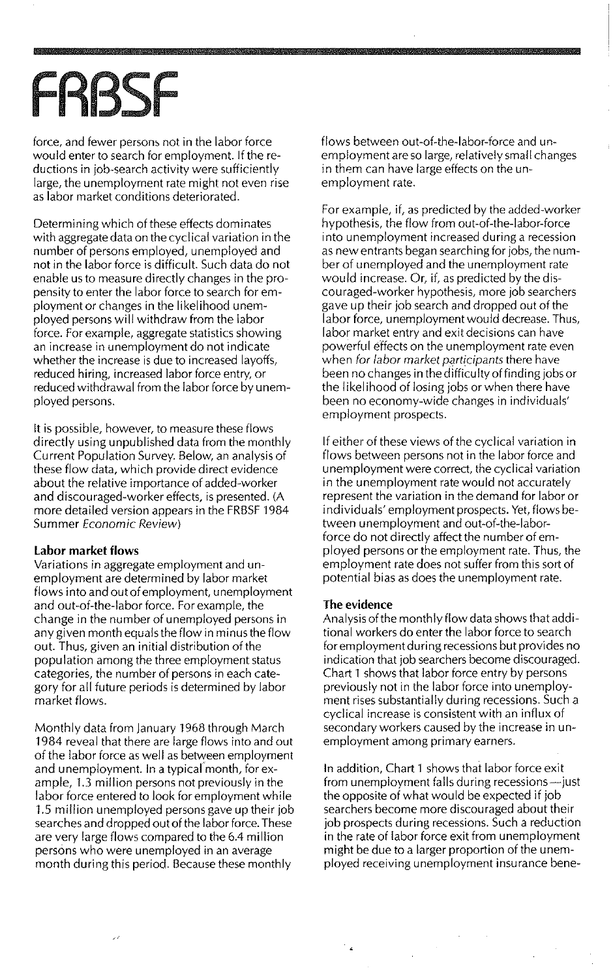## **FRBSF**

force, and fewer persons not in the labor force would enter to search for employment. If the reductions in job-search activity were sufficiently large, the unemployment rate might not even rise as labor market conditions deteriorated.

Determining which of these effects dominates with aggregate data on the cyclical variation in the number of persons employed, unemployed and not in the labor force is difficult. Such data do not enable us to measure directly changes in the propensity to enter the labor force to search for employment or changes in the likelihood unemployed persons will withdraw from the labor force. For example, aggregate statistics showing an increase in unemployment do not indicate whether the increase is due to increased layoffs, reduced hiring, increased labor force entry, or reduced withdrawal from the labor force by unemployed persons.

It is possible, however, to measure these flows directly using unpublished data from the monthly Current Population Survey. Below, an analysis of these flow data, which provide direct evidence about the relative importance of added-worker and discouraged-worker effects, is presented. (A more detailed version appears in the FRBSF 1984 Summer Economic Review)

#### **Labor market flows**

Variations in aggregate employment and unemployment are determined by labor market flows into and out ofemployment, unemployment and out-of-the-labor force. For example, the change in the number of unemployed persons in any given month equals the flow in minus the flow out. Thus, given an initial distribution of the population among the three employment status categories, the number of persons in each category for all future periods is determined by labor market flows.

Monthly data from January 1968 through March 1984 reveal that there are large flows into and out of the labor force as well as between employment and unemployment. In a typical month, for example, 1.3 million persons not previously in the labor force entered to look for employment while 1.5 million unemployed persons gave up their job searches and dropped out of the labor force. These are very large flows compared to the 6.4 million persons who were unemployed in an average month during this period. Because these monthly

 $\overline{\mathcal{L}}$ 

flows between out-of-the-labor-force and unemployment are so large, relatively small changes in them can have large effects on the unemployment rate.

For example, if, as predicted by the added-worker hypothesis, the flow from out-of-the-labor-force into unemployment increased during a recession as new entrants began searching for jobs, the number of unemployed and the unemployment rate would increase. Or, if, as predicted by the discouraged-worker hypothesis, more job searchers gave up their job search and dropped out of the labor force, unemployment would decrease. Thus, labor market entry and exit decisions can have powerful effects on the unemployment rate even when for labor market participants there have been no changes in the difficulty of finding jobs or the likelihood of losing jobs or when there have been no economy-wide changes in individuals' employment prospects.

If either of these views of the cyclical variation in flows between persons not in the labor force and unemployment were correct, the cyclical variation in the unemployment rate would not accurately represent the variation in the demand for labor or individuals' employment prospects. Yet, flows between unemployment and out-of-the-laborforce do not directly affect the number of employed persons or the employment rate. Thus, the employment rate does not suffer from this sort of potential bias as does the unemployment rate.

#### **The evidence**

Analysis of the monthly flow data shows that additional workers do enter the labor force to search for employment during recessions but provides no indication that job searchers become discouraged. Chart 1 shows that labor force entry by persons previously not in the labor force into unemployment rises substantially during recessions. Such a cyclical increase is consistent with an influx of secondary workers caused by the increase in unemployment among primary earners.

In addition, Chart 1 shows that labor force exit from unemployment falls during recessions-just the opposite of what would be expected if job searchers become more discouraged about their job prospects during recessions. Such a reduction in the rate of labor force exit from unemployment might be due to a larger proportion of the unemployed receiving unemployment insurance bene-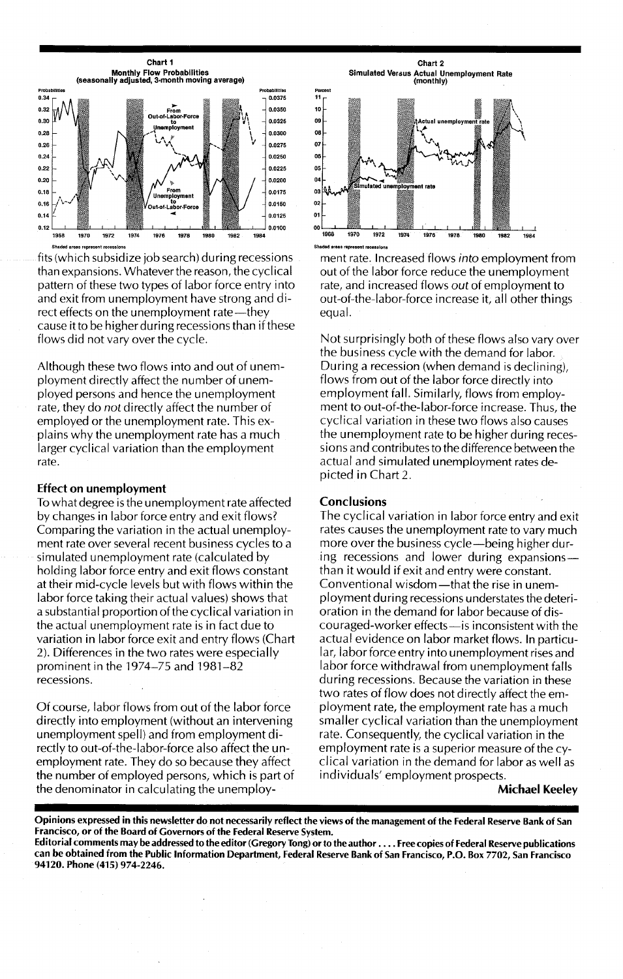

fits (which subsidize job search) during recessions than expansions. Whatever the reason, the cyclical pattern of these two types of Iabor force entry into and exit from unemployment have strong and direct effects on the unemployment rate-they cause it to be higher during recessions than if these flows did not vary over the cycle.

Although these two flows into and out of unemployment directly affect the number of unemployed persons and hence the unemployment rate, they do *not* directly affect the number of employed or the unemployment rate. This explains why the unemployment rate has a much larger cyclical variation than the employment rate.

#### Effect on unemployment

To what degree is the unemployment rate affected by changes in labor force entry and exit flows? Comparing the variation in the actual unemployment rate over several recent business cycles to a simulated unemployment rate (calculated by holding labor force entry and exit flows constant at their mid-cycle levels but with flows within the labor force taking their actual values) shows that a substantial proportion of the cyclical variation in the actual unemployment rate is in fact due to variation in labor force exit and entry flows (Chart 2). Differences in the two rates were especially prominent in the 1974-75 and 1981-82 recessions.

Of course, labor flows from out of the labor force directly into employment (without an intervening unemployment spell) and from employment directly to out-of-the-Iabor-force also affect the unemployment rate. They do so because they affect the number of employed persons, which is part of the denominator in calculating the unemploy-

Chart 2 Simulated Ve'5us Actual Unemployment Rate (monthly)



ment rate. Increased flows *into* employment from out of the labor force reduce the unemployment rate, and increased flows *out* of employment to out-of-the-Iabor-force increase it, all other things equal.

Not surprisingly both of these flows also vary over the business cycle with the demand for labor. During a recession (when demand is declining), flows from out of the labor force directly into employment fall. Similarly, flows from employment to out-of-the-Iabor-force increase. Thus, the cyclical variation in these two flows also causes the unemployment rate to be higher during recessions and contributes to the difference between the actual and simulated unemployment rates depicted in Chart 2.

#### **Conclusions**

The cyclical variation in labor force entry and exit rates causes the unemployment rate to vary much more over the business cycle-being higher during recessions and lower during expansionsthan it would if exit and entry were constant. Conventional wisdom—that the rise in unemployment during recessions understates the deterioration in the demand for labor because of discouraged-worker effects-is inconsistent with the actual evidence on labor market flows. In particu-Iar, labor force entry into unemployment rises and labor force withdrawal from unemployment falls during recessions. Because the variation in these two rates of flow does not directly affect the employment rate, the employment rate has a much smaller cyclical variation than the unemployment rate. Consequently, the cyclical variation in the employment rate is a superior measure of the cyclical variation in the demand for labor as well as individuals' employment prospects.

#### Michael Keeley

Opinions expressed in this newsletter do not necessarily reflect the views of the management of the Federal Reserve Bank of San Francisco, or of the Board of Governors of the Federal Reserve System.

Editorial comments may be addressed to the editor (Gregory Tong) orto the author .... Free copies of Federal Reserve publications can be obtained from the Public Information Department, Federal Reserve Bank of San Francisco, P.O. Box 7702, San Francisco 94120. Phone (415) 974-2246.